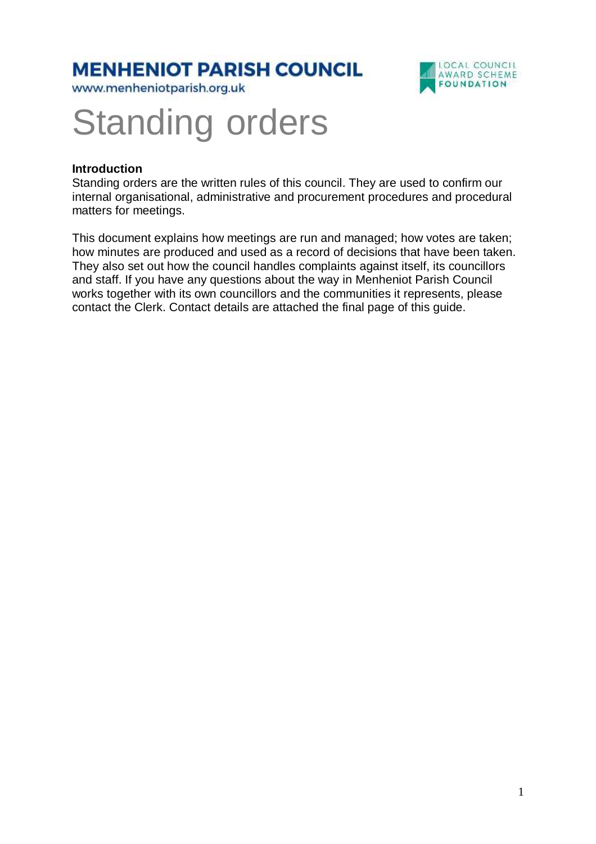### **MENHENIOT PARISH COUNCIL**

www.menheniotparish.org.uk



# Standing orders

#### **Introduction**

Standing orders are the written rules of this council. They are used to confirm our internal organisational, administrative and procurement procedures and procedural matters for meetings.

This document explains how meetings are run and managed; how votes are taken; how minutes are produced and used as a record of decisions that have been taken. They also set out how the council handles complaints against itself, its councillors and staff. If you have any questions about the way in Menheniot Parish Council works together with its own councillors and the communities it represents, please contact the Clerk. Contact details are attached the final page of this guide.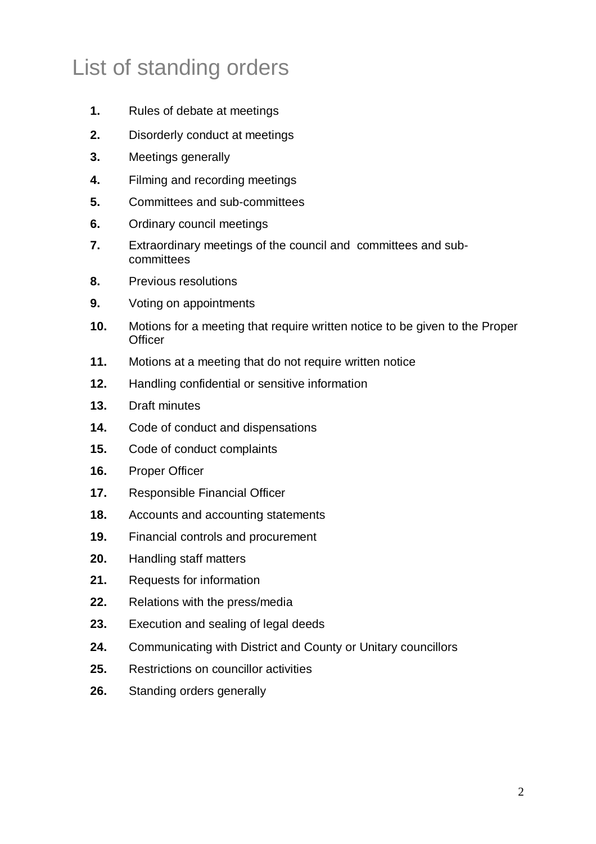# List of standing orders

- **1.** Rules of debate at meetings
- **2.** Disorderly conduct at meetings
- **3.** Meetings generally
- **4.** Filming and recording meetings
- **5.** Committees and sub-committees
- **6.** Ordinary council meetings
- **7.** Extraordinary meetings of the council and committees and subcommittees
- **8.** Previous resolutions
- **9.** Voting on appointments
- **10.** Motions for a meeting that require written notice to be given to the Proper **Officer**
- **11.** Motions at a meeting that do not require written notice
- **12.** Handling confidential or sensitive information
- **13.** Draft minutes
- **14.** Code of conduct and dispensations
- **15.** Code of conduct complaints
- **16.** Proper Officer
- **17.** Responsible Financial Officer
- **18.** Accounts and accounting statements
- **19.** Financial controls and procurement
- **20.** Handling staff matters
- **21.** Requests for information
- **22.** Relations with the press/media
- **23.** Execution and sealing of legal deeds
- **24.** Communicating with District and County or Unitary councillors
- **25.** Restrictions on councillor activities
- **26.** Standing orders generally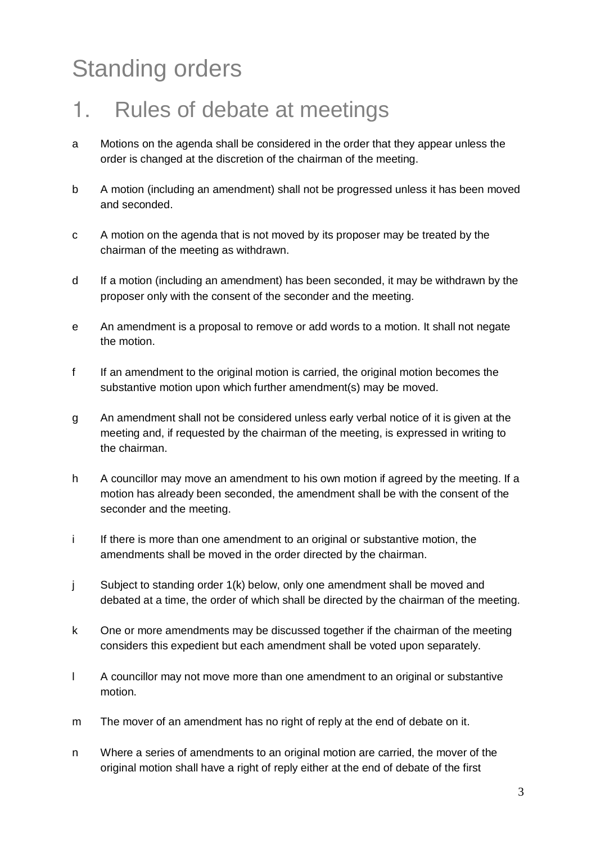# Standing orders

### 1. Rules of debate at meetings

- a Motions on the agenda shall be considered in the order that they appear unless the order is changed at the discretion of the chairman of the meeting.
- b A motion (including an amendment) shall not be progressed unless it has been moved and seconded.
- c A motion on the agenda that is not moved by its proposer may be treated by the chairman of the meeting as withdrawn.
- d If a motion (including an amendment) has been seconded, it may be withdrawn by the proposer only with the consent of the seconder and the meeting.
- e An amendment is a proposal to remove or add words to a motion. It shall not negate the motion.
- f If an amendment to the original motion is carried, the original motion becomes the substantive motion upon which further amendment(s) may be moved.
- g An amendment shall not be considered unless early verbal notice of it is given at the meeting and, if requested by the chairman of the meeting, is expressed in writing to the chairman.
- h A councillor may move an amendment to his own motion if agreed by the meeting. If a motion has already been seconded, the amendment shall be with the consent of the seconder and the meeting.
- i If there is more than one amendment to an original or substantive motion, the amendments shall be moved in the order directed by the chairman.
- j Subject to standing order 1(k) below, only one amendment shall be moved and debated at a time, the order of which shall be directed by the chairman of the meeting.
- k One or more amendments may be discussed together if the chairman of the meeting considers this expedient but each amendment shall be voted upon separately.
- l A councillor may not move more than one amendment to an original or substantive motion.
- m The mover of an amendment has no right of reply at the end of debate on it.
- n Where a series of amendments to an original motion are carried, the mover of the original motion shall have a right of reply either at the end of debate of the first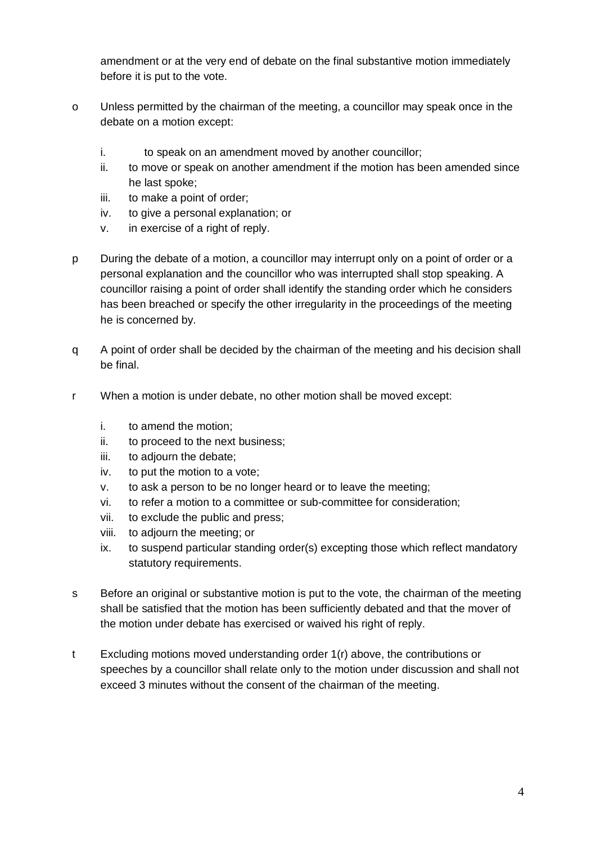amendment or at the very end of debate on the final substantive motion immediately before it is put to the vote.

- o Unless permitted by the chairman of the meeting, a councillor may speak once in the debate on a motion except:
	- i. to speak on an amendment moved by another councillor;
	- ii. to move or speak on another amendment if the motion has been amended since he last spoke;
	- iii. to make a point of order;
	- iv. to give a personal explanation; or
	- v. in exercise of a right of reply.
- p During the debate of a motion, a councillor may interrupt only on a point of order or a personal explanation and the councillor who was interrupted shall stop speaking. A councillor raising a point of order shall identify the standing order which he considers has been breached or specify the other irregularity in the proceedings of the meeting he is concerned by.
- q A point of order shall be decided by the chairman of the meeting and his decision shall be final.
- r When a motion is under debate, no other motion shall be moved except:
	- i. to amend the motion;
	- ii. to proceed to the next business;
	- iii. to adjourn the debate;
	- iv. to put the motion to a vote;
	- v. to ask a person to be no longer heard or to leave the meeting;
	- vi. to refer a motion to a committee or sub-committee for consideration;
	- vii. to exclude the public and press;
	- viii. to adjourn the meeting; or
	- ix. to suspend particular standing order(s) excepting those which reflect mandatory statutory requirements.
- s Before an original or substantive motion is put to the vote, the chairman of the meeting shall be satisfied that the motion has been sufficiently debated and that the mover of the motion under debate has exercised or waived his right of reply.
- t Excluding motions moved understanding order 1(r) above, the contributions or speeches by a councillor shall relate only to the motion under discussion and shall not exceed 3 minutes without the consent of the chairman of the meeting.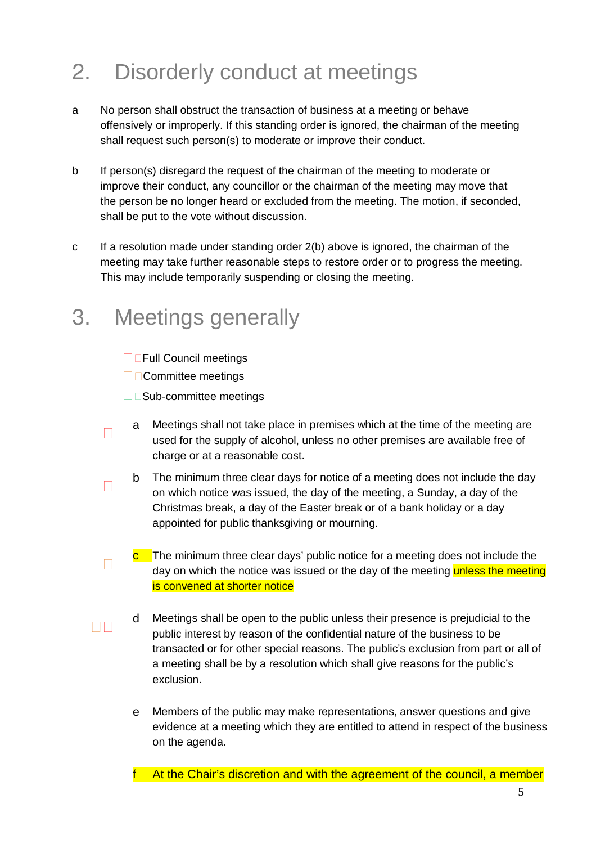# 2. Disorderly conduct at meetings

- a No person shall obstruct the transaction of business at a meeting or behave offensively or improperly. If this standing order is ignored, the chairman of the meeting shall request such person(s) to moderate or improve their conduct.
- b If person(s) disregard the request of the chairman of the meeting to moderate or improve their conduct, any councillor or the chairman of the meeting may move that the person be no longer heard or excluded from the meeting. The motion, if seconded, shall be put to the vote without discussion.
- c If a resolution made under standing order 2(b) above is ignored, the chairman of the meeting may take further reasonable steps to restore order or to progress the meeting. This may include temporarily suspending or closing the meeting.

### 3. Meetings generally

Full Council meetings Committee meetings Sub-committee meetings

- a Meetings shall not take place in premises which at the time of the meeting are used for the supply of alcohol, unless no other premises are available free of charge or at a reasonable cost.
- b The minimum three clear days for notice of a meeting does not include the day on which notice was issued, the day of the meeting, a Sunday, a day of the Christmas break, a day of the Easter break or of a bank holiday or a day appointed for public thanksgiving or mourning.
- $\frac{c}{c}$  The minimum three clear days' public notice for a meeting does not include the day on which the notice was issued or the day of the meeting-unless the meeting is convened at shorter notice
- d Meetings shall be open to the public unless their presence is prejudicial to the public interest by reason of the confidential nature of the business to be transacted or for other special reasons. The public's exclusion from part or all of a meeting shall be by a resolution which shall give reasons for the public's exclusion.
- e Members of the public may make representations, answer questions and give evidence at a meeting which they are entitled to attend in respect of the business on the agenda.

At the Chair's discretion and with the agreement of the council, a member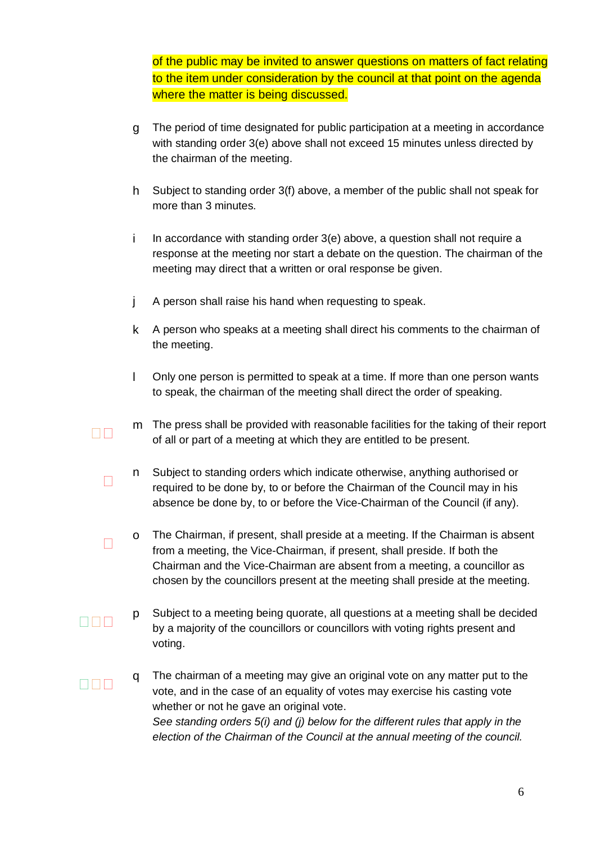of the public may be invited to answer questions on matters of fact relating to the item under consideration by the council at that point on the agenda where the matter is being discussed.

- g The period of time designated for public participation at a meeting in accordance with standing order 3(e) above shall not exceed 15 minutes unless directed by the chairman of the meeting.
- h Subject to standing order 3(f) above, a member of the public shall not speak for more than 3 minutes.
- i In accordance with standing order 3(e) above, a question shall not require a response at the meeting nor start a debate on the question. The chairman of the meeting may direct that a written or oral response be given.
- j A person shall raise his hand when requesting to speak.
- k A person who speaks at a meeting shall direct his comments to the chairman of the meeting.
- l Only one person is permitted to speak at a time. If more than one person wants to speak, the chairman of the meeting shall direct the order of speaking.
- m The press shall be provided with reasonable facilities for the taking of their report of all or part of a meeting at which they are entitled to be present.
- n Subject to standing orders which indicate otherwise, anything authorised or required to be done by, to or before the Chairman of the Council may in his absence be done by, to or before the Vice-Chairman of the Council (if any).
- o The Chairman, if present, shall preside at a meeting. If the Chairman is absent from a meeting, the Vice-Chairman, if present, shall preside. If both the Chairman and the Vice-Chairman are absent from a meeting, a councillor as chosen by the councillors present at the meeting shall preside at the meeting.
- p Subject to a meeting being quorate, all questions at a meeting shall be decided by a majority of the councillors or councillors with voting rights present and voting.
- q The chairman of a meeting may give an original vote on any matter put to the vote, and in the case of an equality of votes may exercise his casting vote whether or not he gave an original vote. See standing orders 5(i) and (j) below for the different rules that apply in the election of the Chairman of the Council at the annual meeting of the council.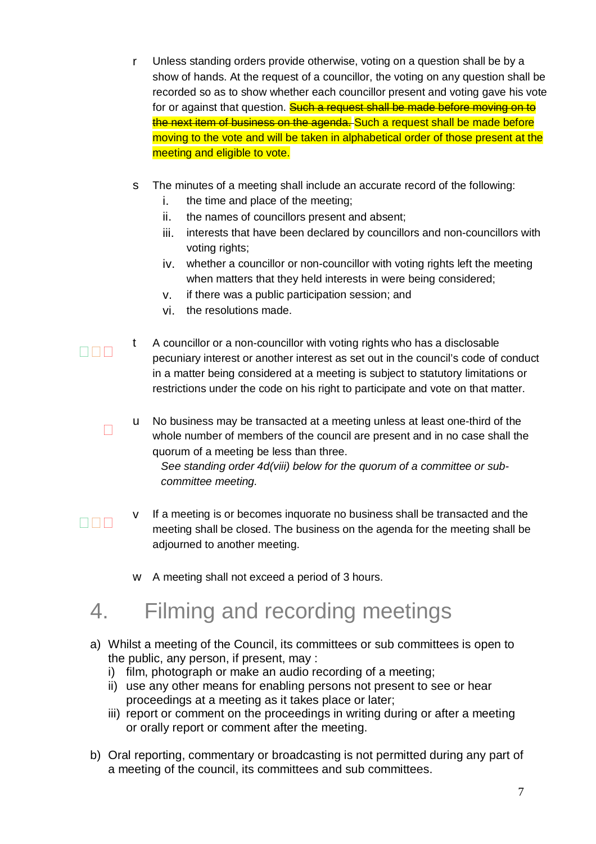- r Unless standing orders provide otherwise, voting on a question shall be by a show of hands. At the request of a councillor, the voting on any question shall be recorded so as to show whether each councillor present and voting gave his vote for or against that question. Such a request shall be made before moving on to the next item of business on the agenda. Such a request shall be made before moving to the vote and will be taken in alphabetical order of those present at the meeting and eligible to vote.
- s The minutes of a meeting shall include an accurate record of the following:
	- i. the time and place of the meeting;
	- ii. the names of councillors present and absent;
	- iii. interests that have been declared by councillors and non-councillors with voting rights;
	- iv. whether a councillor or non-councillor with voting rights left the meeting when matters that they held interests in were being considered;
	- v. if there was a public participation session; and
	- vi. the resolutions made.
- t A councillor or a non-councillor with voting rights who has a disclosable pecuniary interest or another interest as set out in the council's code of conduct in a matter being considered at a meeting is subject to statutory limitations or restrictions under the code on his right to participate and vote on that matter.
- u No business may be transacted at a meeting unless at least one-third of the whole number of members of the council are present and in no case shall the quorum of a meeting be less than three. See standing order 4d(viii) below for the quorum of a committee or sub-

committee meeting.

- v If a meeting is or becomes inquorate no business shall be transacted and the meeting shall be closed. The business on the agenda for the meeting shall be adjourned to another meeting.
- w A meeting shall not exceed a period of 3 hours.

# 4. Filming and recording meetings

- a) Whilst a meeting of the Council, its committees or sub committees is open to the public, any person, if present, may :
	- i) film, photograph or make an audio recording of a meeting;
	- ii) use any other means for enabling persons not present to see or hear proceedings at a meeting as it takes place or later;
	- iii) report or comment on the proceedings in writing during or after a meeting or orally report or comment after the meeting.
- b) Oral reporting, commentary or broadcasting is not permitted during any part of a meeting of the council, its committees and sub committees.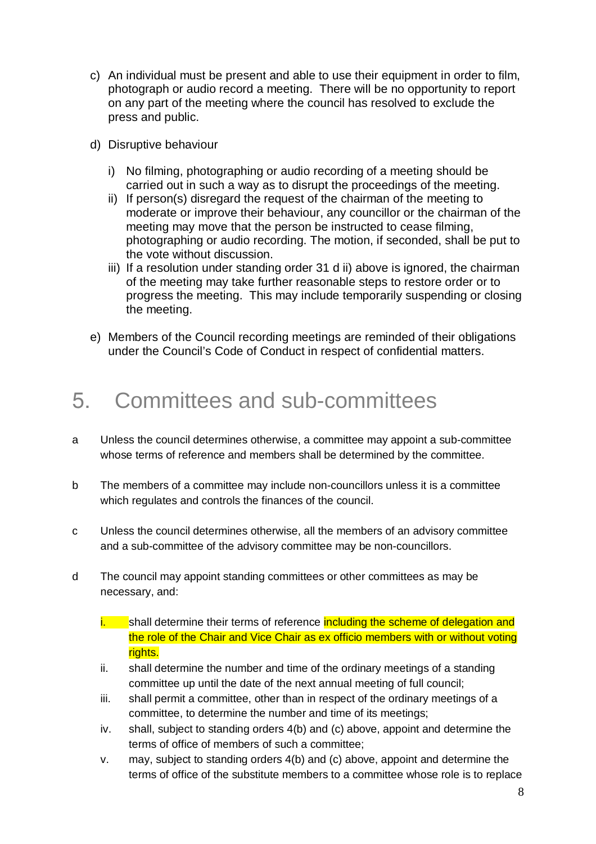- c) An individual must be present and able to use their equipment in order to film, photograph or audio record a meeting. There will be no opportunity to report on any part of the meeting where the council has resolved to exclude the press and public.
- d) Disruptive behaviour
	- i) No filming, photographing or audio recording of a meeting should be carried out in such a way as to disrupt the proceedings of the meeting.
	- ii) If person(s) disregard the request of the chairman of the meeting to moderate or improve their behaviour, any councillor or the chairman of the meeting may move that the person be instructed to cease filming, photographing or audio recording. The motion, if seconded, shall be put to the vote without discussion.
	- iii) If a resolution under standing order 31 d ii) above is ignored, the chairman of the meeting may take further reasonable steps to restore order or to progress the meeting. This may include temporarily suspending or closing the meeting.
- e) Members of the Council recording meetings are reminded of their obligations under the Council's Code of Conduct in respect of confidential matters.

### 5. Committees and sub-committees

- a Unless the council determines otherwise, a committee may appoint a sub-committee whose terms of reference and members shall be determined by the committee.
- b The members of a committee may include non-councillors unless it is a committee which regulates and controls the finances of the council.
- c Unless the council determines otherwise, all the members of an advisory committee and a sub-committee of the advisory committee may be non-councillors.
- d The council may appoint standing committees or other committees as may be necessary, and:
	- i. Shall determine their terms of reference including the scheme of delegation and the role of the Chair and Vice Chair as ex officio members with or without voting rights.
	- ii. shall determine the number and time of the ordinary meetings of a standing committee up until the date of the next annual meeting of full council;
	- iii. shall permit a committee, other than in respect of the ordinary meetings of a committee, to determine the number and time of its meetings;
	- iv. shall, subject to standing orders 4(b) and (c) above, appoint and determine the terms of office of members of such a committee;
	- v. may, subject to standing orders 4(b) and (c) above, appoint and determine the terms of office of the substitute members to a committee whose role is to replace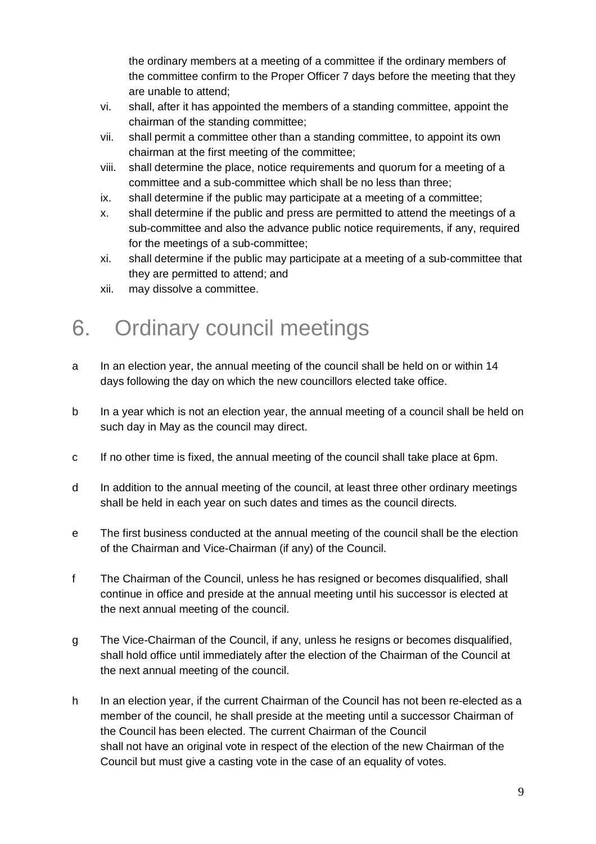the ordinary members at a meeting of a committee if the ordinary members of the committee confirm to the Proper Officer 7 days before the meeting that they are unable to attend;

- vi. shall, after it has appointed the members of a standing committee, appoint the chairman of the standing committee;
- vii. shall permit a committee other than a standing committee, to appoint its own chairman at the first meeting of the committee;
- viii. shall determine the place, notice requirements and quorum for a meeting of a committee and a sub-committee which shall be no less than three;
- ix. shall determine if the public may participate at a meeting of a committee;
- x. shall determine if the public and press are permitted to attend the meetings of a sub-committee and also the advance public notice requirements, if any, required for the meetings of a sub-committee;
- xi. shall determine if the public may participate at a meeting of a sub-committee that they are permitted to attend; and
- xii. may dissolve a committee.

### 6. Ordinary council meetings

- a In an election year, the annual meeting of the council shall be held on or within 14 days following the day on which the new councillors elected take office.
- b In a year which is not an election year, the annual meeting of a council shall be held on such day in May as the council may direct.
- c If no other time is fixed, the annual meeting of the council shall take place at 6pm.
- d In addition to the annual meeting of the council, at least three other ordinary meetings shall be held in each year on such dates and times as the council directs.
- e The first business conducted at the annual meeting of the council shall be the election of the Chairman and Vice-Chairman (if any) of the Council.
- f The Chairman of the Council, unless he has resigned or becomes disqualified, shall continue in office and preside at the annual meeting until his successor is elected at the next annual meeting of the council.
- g The Vice-Chairman of the Council, if any, unless he resigns or becomes disqualified, shall hold office until immediately after the election of the Chairman of the Council at the next annual meeting of the council.
- h In an election year, if the current Chairman of the Council has not been re-elected as a member of the council, he shall preside at the meeting until a successor Chairman of the Council has been elected. The current Chairman of the Council shall not have an original vote in respect of the election of the new Chairman of the Council but must give a casting vote in the case of an equality of votes.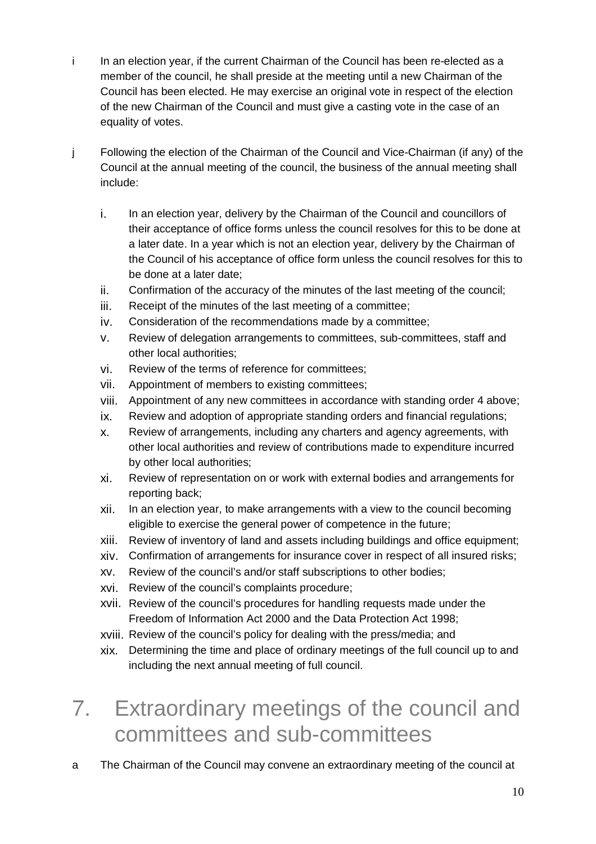- i In an election year, if the current Chairman of the Council has been re-elected as a member of the council, he shall preside at the meeting until a new Chairman of the Council has been elected. He may exercise an original vote in respect of the election of the new Chairman of the Council and must give a casting vote in the case of an equality of votes.
- j Following the election of the Chairman of the Council and Vice-Chairman (if any) of the Council at the annual meeting of the council, the business of the annual meeting shall include:
	- i. In an election year, delivery by the Chairman of the Council and councillors of their acceptance of office forms unless the council resolves for this to be done at a later date. In a year which is not an election year, delivery by the Chairman of the Council of his acceptance of office form unless the council resolves for this to be done at a later date;
	- ii. Confirmation of the accuracy of the minutes of the last meeting of the council;
	- iii. Receipt of the minutes of the last meeting of a committee;
	- iv. Consideration of the recommendations made by a committee;
	- v. Review of delegation arrangements to committees, sub-committees, staff and other local authorities;
	- vi. Review of the terms of reference for committees;
	- vii. Appointment of members to existing committees;
	- viii. Appointment of any new committees in accordance with standing order 4 above;
	- ix. Review and adoption of appropriate standing orders and financial regulations;
	- x. Review of arrangements, including any charters and agency agreements, with other local authorities and review of contributions made to expenditure incurred by other local authorities;
	- xi. Review of representation on or work with external bodies and arrangements for reporting back;
	- xii. In an election year, to make arrangements with a view to the council becoming eligible to exercise the general power of competence in the future;
	- xiii. Review of inventory of land and assets including buildings and office equipment;
	- xiv. Confirmation of arrangements for insurance cover in respect of all insured risks;
	- xv. Review of the council's and/or staff subscriptions to other bodies;
	- xvi. Review of the council's complaints procedure;
	- xvii. Review of the council's procedures for handling requests made under the Freedom of Information Act 2000 and the Data Protection Act 1998;
	- xviii. Review of the council's policy for dealing with the press/media; and
	- xix. Determining the time and place of ordinary meetings of the full council up to and including the next annual meeting of full council.

# 7. Extraordinary meetings of the council and committees and sub-committees

a The Chairman of the Council may convene an extraordinary meeting of the council at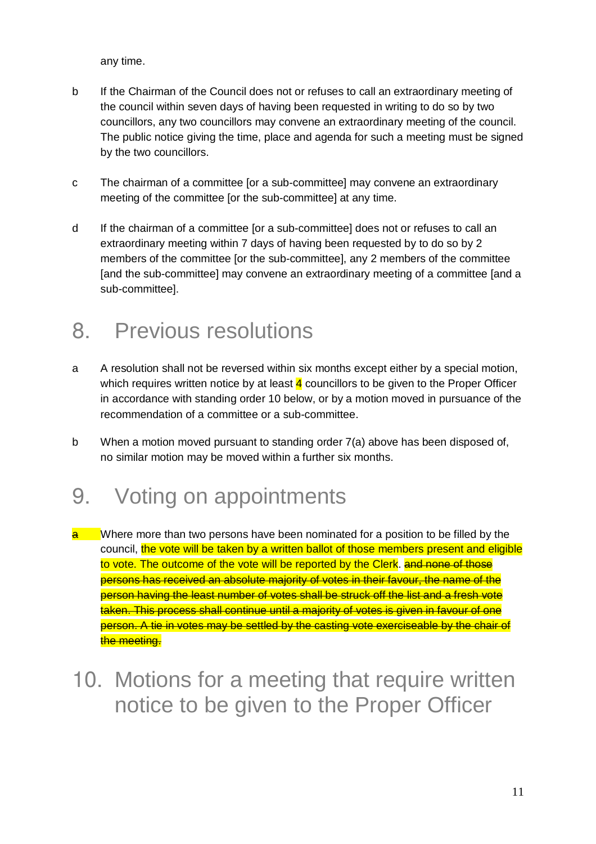any time.

- b If the Chairman of the Council does not or refuses to call an extraordinary meeting of the council within seven days of having been requested in writing to do so by two councillors, any two councillors may convene an extraordinary meeting of the council. The public notice giving the time, place and agenda for such a meeting must be signed by the two councillors.
- c The chairman of a committee [or a sub-committee] may convene an extraordinary meeting of the committee [or the sub-committee] at any time.
- d If the chairman of a committee [or a sub-committee] does not or refuses to call an extraordinary meeting within 7 days of having been requested by to do so by 2 members of the committee [or the sub-committee], any 2 members of the committee [and the sub-committee] may convene an extraordinary meeting of a committee [and a sub-committee].

### 8. Previous resolutions

- a A resolution shall not be reversed within six months except either by a special motion, which requires written notice by at least  $\frac{4}{3}$  councillors to be given to the Proper Officer in accordance with standing order 10 below, or by a motion moved in pursuance of the recommendation of a committee or a sub-committee.
- b When a motion moved pursuant to standing order 7(a) above has been disposed of, no similar motion may be moved within a further six months.

### 9. Voting on appointments

- $\frac{a}{a}$  Where more than two persons have been nominated for a position to be filled by the council, the vote will be taken by a written ballot of those members present and eligible to vote. The outcome of the vote will be reported by the Clerk. and none of those persons has received an absolute majority of votes in their favour, the name of the person having the least number of votes shall be struck off the list and a fresh vote taken. This process shall continue until a majority of votes is given in favour of one person. A tie in votes may be settled by the casting vote exerciseable by the chair of the meeting.
- 10. Motions for a meeting that require written notice to be given to the Proper Officer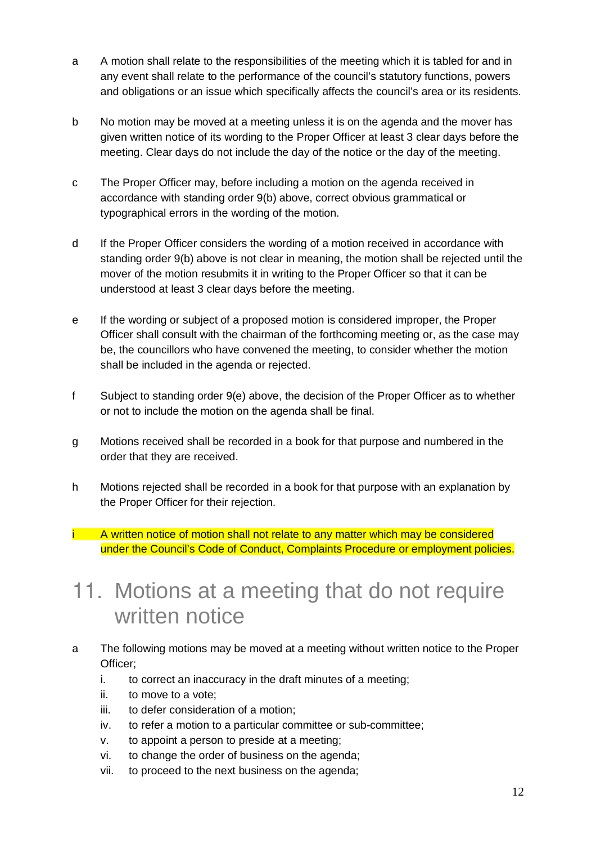- a A motion shall relate to the responsibilities of the meeting which it is tabled for and in any event shall relate to the performance of the council's statutory functions, powers and obligations or an issue which specifically affects the council's area or its residents.
- b No motion may be moved at a meeting unless it is on the agenda and the mover has given written notice of its wording to the Proper Officer at least 3 clear days before the meeting. Clear days do not include the day of the notice or the day of the meeting.
- c The Proper Officer may, before including a motion on the agenda received in accordance with standing order 9(b) above, correct obvious grammatical or typographical errors in the wording of the motion.
- d If the Proper Officer considers the wording of a motion received in accordance with standing order 9(b) above is not clear in meaning, the motion shall be rejected until the mover of the motion resubmits it in writing to the Proper Officer so that it can be understood at least 3 clear days before the meeting.
- e If the wording or subject of a proposed motion is considered improper, the Proper Officer shall consult with the chairman of the forthcoming meeting or, as the case may be, the councillors who have convened the meeting, to consider whether the motion shall be included in the agenda or rejected.
- f Subject to standing order 9(e) above, the decision of the Proper Officer as to whether or not to include the motion on the agenda shall be final.
- g Motions received shall be recorded in a book for that purpose and numbered in the order that they are received.
- h Motions rejected shall be recorded in a book for that purpose with an explanation by the Proper Officer for their rejection.
- i A written notice of motion shall not relate to any matter which may be considered under the Council's Code of Conduct, Complaints Procedure or employment policies.

### 11. Motions at a meeting that do not require written notice

- a The following motions may be moved at a meeting without written notice to the Proper Officer;
	- i. to correct an inaccuracy in the draft minutes of a meeting;
	- ii. to move to a vote;
	- iii. to defer consideration of a motion;
	- iv. to refer a motion to a particular committee or sub-committee;
	- v. to appoint a person to preside at a meeting;
	- vi. to change the order of business on the agenda;
	- vii. to proceed to the next business on the agenda;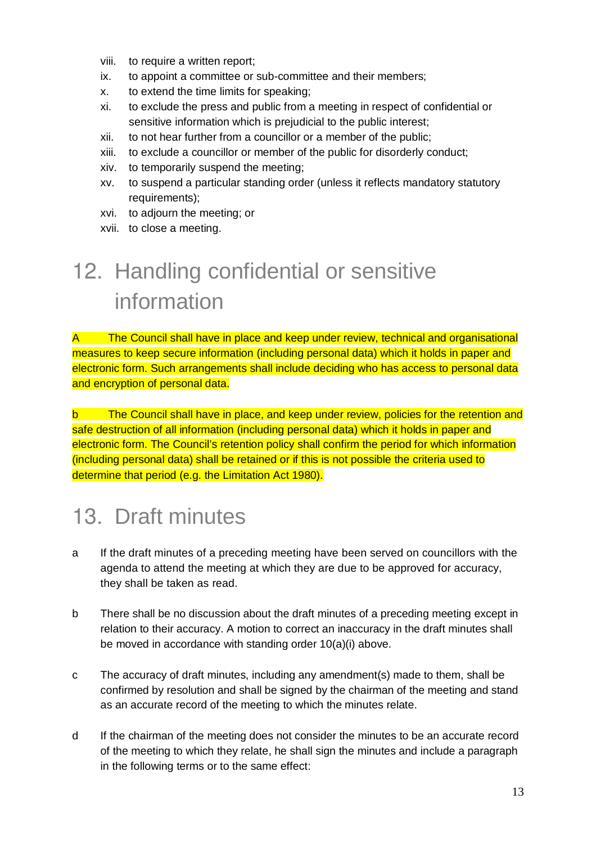- viii. to require a written report;
- ix. to appoint a committee or sub-committee and their members;
- x. to extend the time limits for speaking;
- xi. to exclude the press and public from a meeting in respect of confidential or sensitive information which is prejudicial to the public interest;
- xii. to not hear further from a councillor or a member of the public;
- xiii. to exclude a councillor or member of the public for disorderly conduct;
- xiv. to temporarily suspend the meeting;
- xv. to suspend a particular standing order (unless it reflects mandatory statutory requirements);
- xvi. to adjourn the meeting; or
- xvii. to close a meeting.

# 12. Handling confidential or sensitive information

A The Council shall have in place and keep under review, technical and organisational measures to keep secure information (including personal data) which it holds in paper and electronic form. Such arrangements shall include deciding who has access to personal data and encryption of personal data.

b The Council shall have in place, and keep under review, policies for the retention and safe destruction of all information (including personal data) which it holds in paper and electronic form. The Council's retention policy shall confirm the period for which information (including personal data) shall be retained or if this is not possible the criteria used to determine that period (e.g. the Limitation Act 1980).

# 13. Draft minutes

- a If the draft minutes of a preceding meeting have been served on councillors with the agenda to attend the meeting at which they are due to be approved for accuracy, they shall be taken as read.
- b There shall be no discussion about the draft minutes of a preceding meeting except in relation to their accuracy. A motion to correct an inaccuracy in the draft minutes shall be moved in accordance with standing order 10(a)(i) above.
- c The accuracy of draft minutes, including any amendment(s) made to them, shall be confirmed by resolution and shall be signed by the chairman of the meeting and stand as an accurate record of the meeting to which the minutes relate.
- d If the chairman of the meeting does not consider the minutes to be an accurate record of the meeting to which they relate, he shall sign the minutes and include a paragraph in the following terms or to the same effect: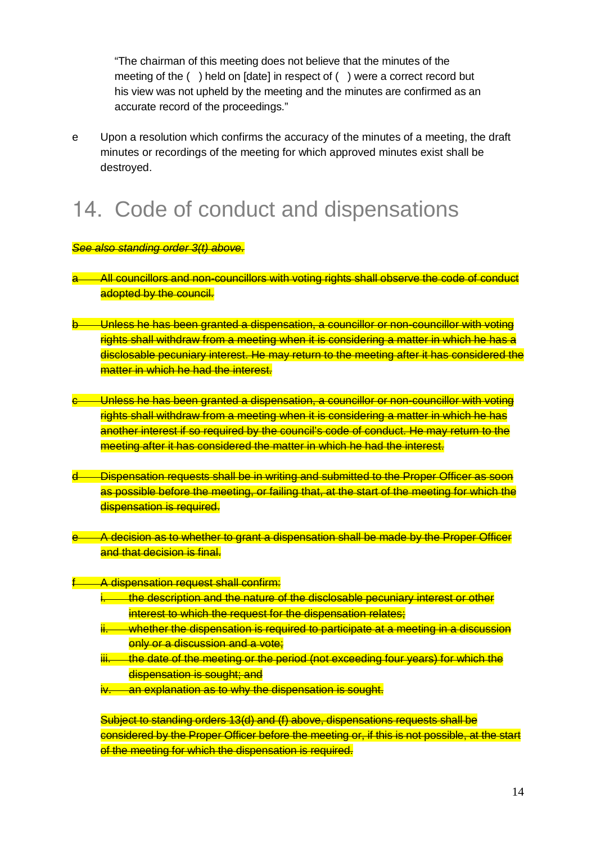"The chairman of this meeting does not believe that the minutes of the meeting of the ( ) held on [date] in respect of ( ) were a correct record but his view was not upheld by the meeting and the minutes are confirmed as an accurate record of the proceedings."

e Upon a resolution which confirms the accuracy of the minutes of a meeting, the draft minutes or recordings of the meeting for which approved minutes exist shall be destroyed.

# 14. Code of conduct and dispensations

See also standing order 3(t) above.

- All councillors and non-councillors with voting rights shall observe the code of conduct adopted by the council.
- Unless he has been granted a dispensation, a councillor or non-councillor with voting rights shall withdraw from a meeting when it is considering a matter in which he has a disclosable pecuniary interest. He may return to the meeting after it has considered the matter in which he had the interest.
- Unless he has been granted a dispensation, a councillor or non-councillor with voting rights shall withdraw from a meeting when it is considering a matter in which he has another interest if so required by the council's code of conduct. He may return to the meeting after it has considered the matter in which he had the interest.
- Dispensation requests shall be in writing and submitted to the Proper Officer as soon as possible before the meeting, or failing that, at the start of the meeting for which the dispensation is required.
- A decision as to whether to grant a dispensation shall be made by the Proper Officer and that decision is final.

A dispensation request shall confirm:

- i. the description and the nature of the disclosable pecuniary interest or other interest to which the request for the dispensation relates;
- whether the dispensation is required to participate at a meeting in a discussion only or a discussion and a vote;
- iii. the date of the meeting or the period (not exceeding four years) for which the dispensation is sought; and
- iv. an explanation as to why the dispensation is sought.

Subject to standing orders 13(d) and (f) above, dispensations requests shall be considered by the Proper Officer before the meeting or, if this is not possible, at the start of the meeting for which the dispensation is required.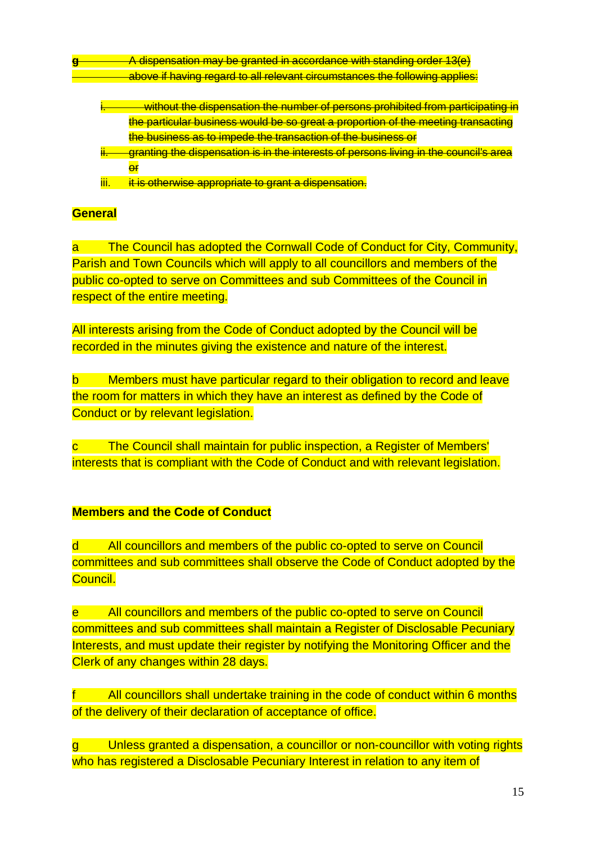**g** A dispensation may be granted in accordance with standing order 13(e) above if having regard to all relevant circumstances the following applies:

- i. without the dispensation the number of persons prohibited from participating in the particular business would be so great a proportion of the meeting transacting the business as to impede the transaction of the business or
- igranting the dispensation is in the interests of persons living in the council's area **er**
- iii. it is otherwise appropriate to grant a dispensation.

#### **General**

a The Council has adopted the Cornwall Code of Conduct for City, Community, Parish and Town Councils which will apply to all councillors and members of the public co-opted to serve on Committees and sub Committees of the Council in respect of the entire meeting.

All interests arising from the Code of Conduct adopted by the Council will be recorded in the minutes giving the existence and nature of the interest.

b Members must have particular regard to their obligation to record and leave the room for matters in which they have an interest as defined by the Code of Conduct or by relevant legislation.

c The Council shall maintain for public inspection, a Register of Members' interests that is compliant with the Code of Conduct and with relevant legislation.

#### **Members and the Code of Conduct**

d All councillors and members of the public co-opted to serve on Council committees and sub committees shall observe the Code of Conduct adopted by the Council.

e All councillors and members of the public co-opted to serve on Council committees and sub committees shall maintain a Register of Disclosable Pecuniary Interests, and must update their register by notifying the Monitoring Officer and the Clerk of any changes within 28 days.

f All councillors shall undertake training in the code of conduct within 6 months of the delivery of their declaration of acceptance of office.

g Unless granted a dispensation, a councillor or non-councillor with voting rights who has registered a Disclosable Pecuniary Interest in relation to any item of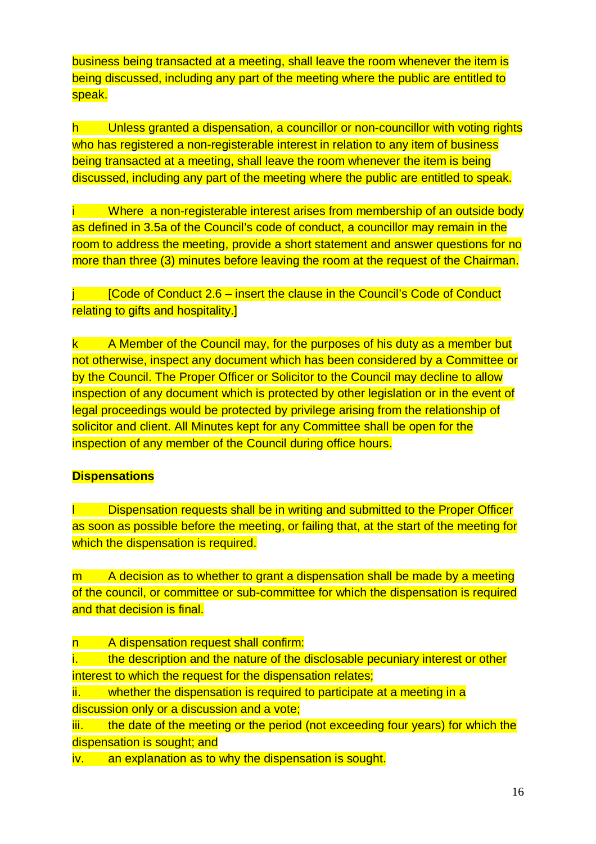business being transacted at a meeting, shall leave the room whenever the item is being discussed, including any part of the meeting where the public are entitled to speak.

h Unless granted a dispensation, a councillor or non-councillor with voting rights who has registered a non-registerable interest in relation to any item of business being transacted at a meeting, shall leave the room whenever the item is being discussed, including any part of the meeting where the public are entitled to speak.

i Where a non-registerable interest arises from membership of an outside body as defined in 3.5a of the Council's code of conduct, a councillor may remain in the room to address the meeting, provide a short statement and answer questions for no more than three (3) minutes before leaving the room at the request of the Chairman.

 $j$  [Code of Conduct 2.6 – insert the clause in the Council's Code of Conduct relating to gifts and hospitality.]

k A Member of the Council may, for the purposes of his duty as a member but not otherwise, inspect any document which has been considered by a Committee or by the Council. The Proper Officer or Solicitor to the Council may decline to allow inspection of any document which is protected by other legislation or in the event of legal proceedings would be protected by privilege arising from the relationship of solicitor and client. All Minutes kept for any Committee shall be open for the inspection of any member of the Council during office hours.

#### **Dispensations**

Dispensation requests shall be in writing and submitted to the Proper Officer as soon as possible before the meeting, or failing that, at the start of the meeting for which the dispensation is required.

m A decision as to whether to grant a dispensation shall be made by a meeting of the council, or committee or sub-committee for which the dispensation is required and that decision is final.

n A dispensation request shall confirm:

i. the description and the nature of the disclosable pecuniary interest or other interest to which the request for the dispensation relates;

ii. whether the dispensation is required to participate at a meeting in a discussion only or a discussion and a vote;

iii. the date of the meeting or the period (not exceeding four years) for which the dispensation is sought; and

iv. an explanation as to why the dispensation is sought.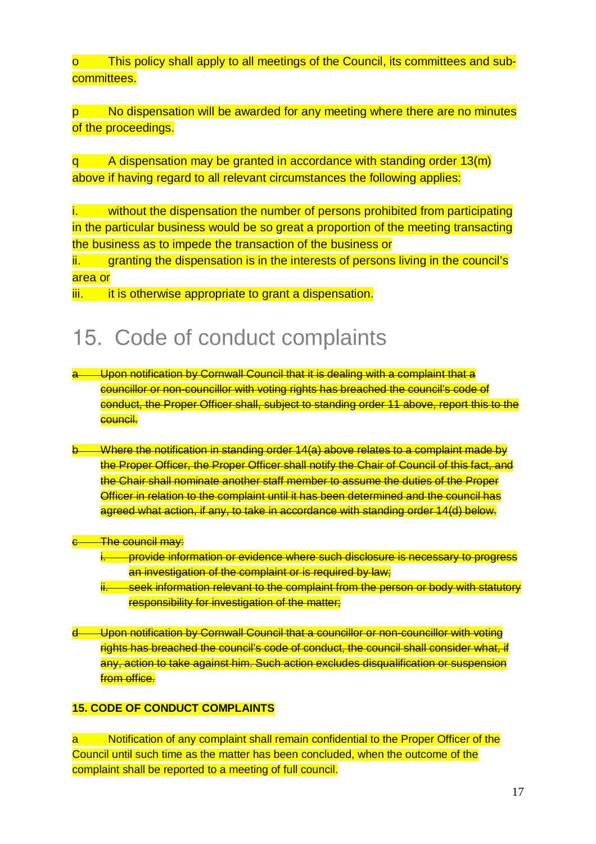This policy shall apply to all meetings of the Council, its committees and subcommittees.

p No dispensation will be awarded for any meeting where there are no minutes of the proceedings.

q A dispensation may be granted in accordance with standing order 13(m) above if having regard to all relevant circumstances the following applies:

i. without the dispensation the number of persons prohibited from participating in the particular business would be so great a proportion of the meeting transacting the business as to impede the transaction of the business or

ii. Granting the dispensation is in the interests of persons living in the council's area or

iii. it is otherwise appropriate to grant a dispensation.

### 15. Code of conduct complaints

- a Upon notification by Cornwall Council that it is dealing with a complaint that a councillor or non-councillor with voting rights has breached the council's code of conduct, the Proper Officer shall, subject to standing order 11 above, report this to the council.
- Where the notification in standing order 14(a) above relates to a complaint made by the Proper Officer, the Proper Officer shall notify the Chair of Council of this fact, and the Chair shall nominate another staff member to assume the duties of the Proper Officer in relation to the complaint until it has been determined and the council has agreed what action, if any, to take in accordance with standing order 14(d) below.
- <del>The council may:</del>
	- i. provide information or evidence where such disclosure is necessary to progress an investigation of the complaint or is required by law;
	- ii. seek information relevant to the complaint from the person or body with statutory responsibility for investigation of the matter;
- d Upon notification by Cornwall Council that a councillor or non-councillor with voting rights has breached the council's code of conduct, the council shall consider what, if any, action to take against him. Such action excludes disqualification or suspension from office.

#### **15. CODE OF CONDUCT COMPLAINTS**

a Notification of any complaint shall remain confidential to the Proper Officer of the Council until such time as the matter has been concluded, when the outcome of the complaint shall be reported to a meeting of full council.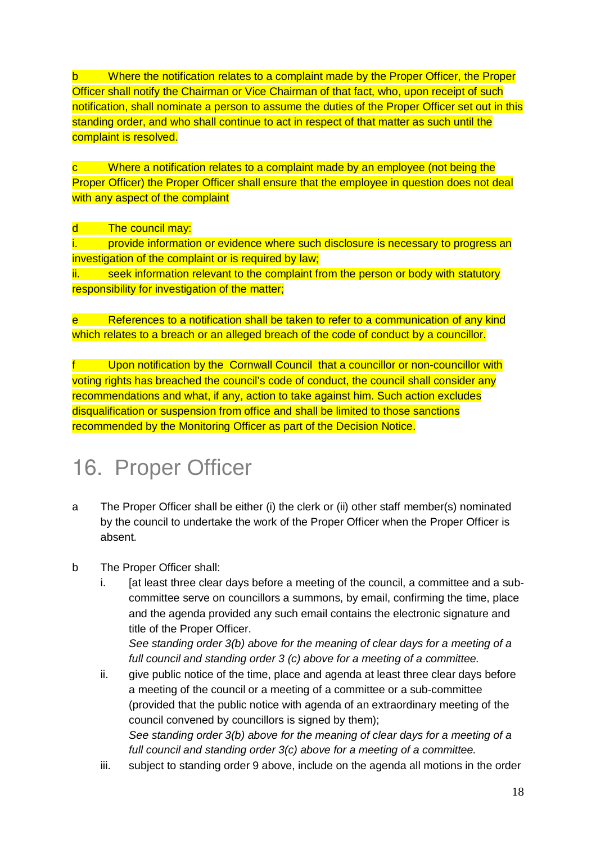b Where the notification relates to a complaint made by the Proper Officer, the Proper Officer shall notify the Chairman or Vice Chairman of that fact, who, upon receipt of such notification, shall nominate a person to assume the duties of the Proper Officer set out in this standing order, and who shall continue to act in respect of that matter as such until the complaint is resolved.

c Where a notification relates to a complaint made by an employee (not being the Proper Officer) the Proper Officer shall ensure that the employee in question does not deal with any aspect of the complaint

d The council may:

i. provide information or evidence where such disclosure is necessary to progress an investigation of the complaint or is required by law;

ii. seek information relevant to the complaint from the person or body with statutory responsibility for investigation of the matter;

e References to a notification shall be taken to refer to a communication of any kind which relates to a breach or an alleged breach of the code of conduct by a councillor.

f Upon notification by the Cornwall Council that a councillor or non-councillor with voting rights has breached the council's code of conduct, the council shall consider any recommendations and what, if any, action to take against him. Such action excludes disqualification or suspension from office and shall be limited to those sanctions recommended by the Monitoring Officer as part of the Decision Notice.

# 16. Proper Officer

- a The Proper Officer shall be either (i) the clerk or (ii) other staff member(s) nominated by the council to undertake the work of the Proper Officer when the Proper Officer is absent.
- b The Proper Officer shall:
	- i. [at least three clear days before a meeting of the council, a committee and a subcommittee serve on councillors a summons, by email, confirming the time, place and the agenda provided any such email contains the electronic signature and title of the Proper Officer.

See standing order 3(b) above for the meaning of clear days for a meeting of a full council and standing order 3 (c) above for a meeting of a committee.

- ii. give public notice of the time, place and agenda at least three clear days before a meeting of the council or a meeting of a committee or a sub-committee (provided that the public notice with agenda of an extraordinary meeting of the council convened by councillors is signed by them); See standing order 3(b) above for the meaning of clear days for a meeting of a full council and standing order 3(c) above for a meeting of a committee.
- iii. subject to standing order 9 above, include on the agenda all motions in the order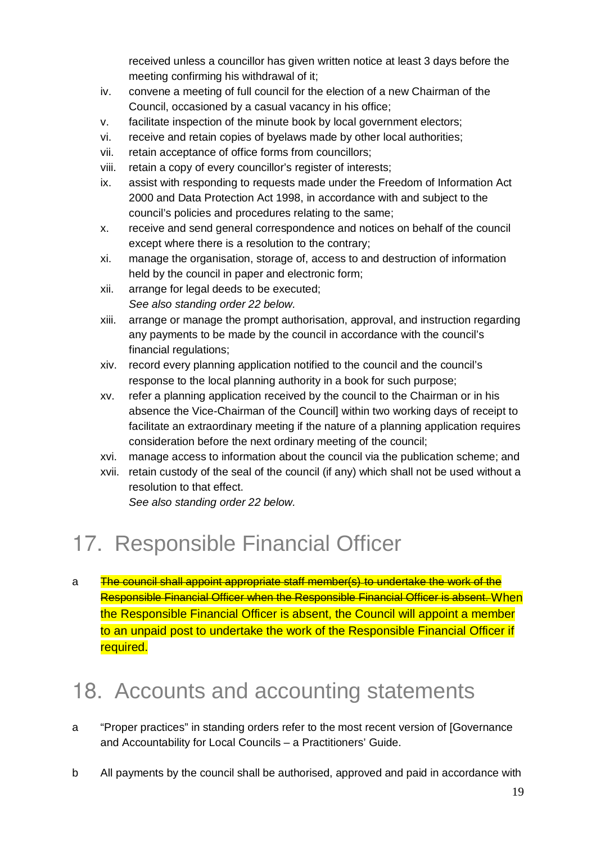received unless a councillor has given written notice at least 3 days before the meeting confirming his withdrawal of it;

- iv. convene a meeting of full council for the election of a new Chairman of the Council, occasioned by a casual vacancy in his office;
- v. facilitate inspection of the minute book by local government electors;
- vi. receive and retain copies of byelaws made by other local authorities;
- vii. retain acceptance of office forms from councillors;
- viii. retain a copy of every councillor's register of interests;
- ix. assist with responding to requests made under the Freedom of Information Act 2000 and Data Protection Act 1998, in accordance with and subject to the council's policies and procedures relating to the same;
- x. receive and send general correspondence and notices on behalf of the council except where there is a resolution to the contrary;
- xi. manage the organisation, storage of, access to and destruction of information held by the council in paper and electronic form;
- xii. arrange for legal deeds to be executed; See also standing order 22 below.
- xiii. arrange or manage the prompt authorisation, approval, and instruction regarding any payments to be made by the council in accordance with the council's financial regulations;
- xiv. record every planning application notified to the council and the council's response to the local planning authority in a book for such purpose;
- xv. refer a planning application received by the council to the Chairman or in his absence the Vice-Chairman of the Council] within two working days of receipt to facilitate an extraordinary meeting if the nature of a planning application requires consideration before the next ordinary meeting of the council;
- xvi. manage access to information about the council via the publication scheme; and
- xvii. retain custody of the seal of the council (if any) which shall not be used without a resolution to that effect.

See also standing order 22 below.

# 17. Responsible Financial Officer

a The council shall appoint appropriate staff member(s) to undertake the work of the Responsible Financial Officer when the Responsible Financial Officer is absent. When the Responsible Financial Officer is absent, the Council will appoint a member to an unpaid post to undertake the work of the Responsible Financial Officer if required.

# 18. Accounts and accounting statements

- a "Proper practices" in standing orders refer to the most recent version of [Governance and Accountability for Local Councils – a Practitioners' Guide.
- b All payments by the council shall be authorised, approved and paid in accordance with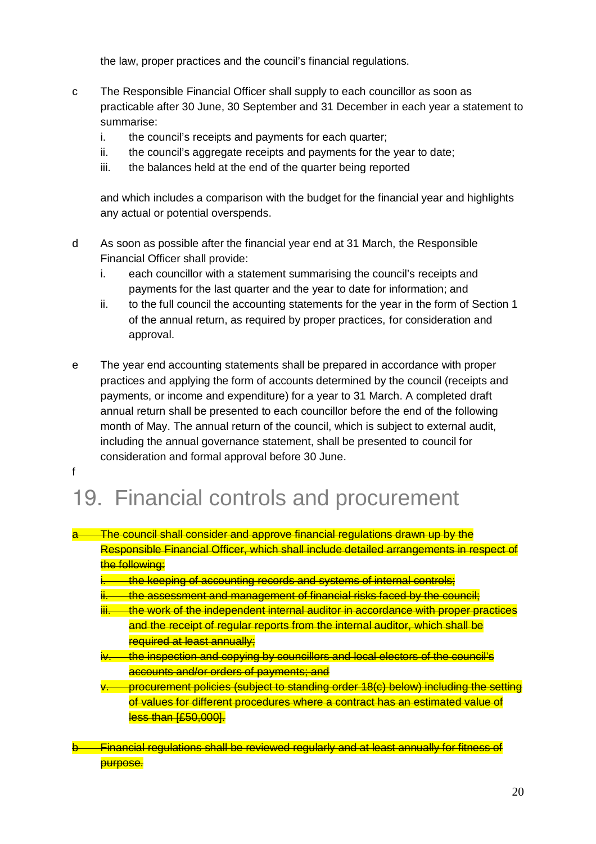the law, proper practices and the council's financial regulations.

- c The Responsible Financial Officer shall supply to each councillor as soon as practicable after 30 June, 30 September and 31 December in each year a statement to summarise:
	- i. the council's receipts and payments for each quarter;
	- ii. the council's aggregate receipts and payments for the year to date;
	- iii. the balances held at the end of the quarter being reported

and which includes a comparison with the budget for the financial year and highlights any actual or potential overspends.

- d As soon as possible after the financial year end at 31 March, the Responsible Financial Officer shall provide:
	- i. each councillor with a statement summarising the council's receipts and payments for the last quarter and the year to date for information; and
	- ii. to the full council the accounting statements for the year in the form of Section 1 of the annual return, as required by proper practices, for consideration and approval.
- e The year end accounting statements shall be prepared in accordance with proper practices and applying the form of accounts determined by the council (receipts and payments, or income and expenditure) for a year to 31 March. A completed draft annual return shall be presented to each councillor before the end of the following month of May. The annual return of the council, which is subject to external audit, including the annual governance statement, shall be presented to council for consideration and formal approval before 30 June. f

# 19. Financial controls and procurement

| The council shall consider and approve financial requisitions drawn up by the<br><del>i në vounoir andir vonalder dhu dpprove fillidhoidi feguldilohs urdwrf up by the</del> |
|------------------------------------------------------------------------------------------------------------------------------------------------------------------------------|
| Responsible Financial Officer, which shall include detailed arrangements in respect of                                                                                       |
| the following:                                                                                                                                                               |

- the keeping of accounting records and systems of internal controls;
- ii. the assessment and management of financial risks faced by the council:
- the work of the independent internal auditor in accordance with proper practices and the receipt of regular reports from the internal auditor, which shall be required at least annually;
- the inspection and copying by councillors and local electors of the council's accounts and/or orders of payments; and
- v. procurement policies (subject to standing order 18(c) below) including the setting of values for different procedures where a contract has an estimated value of less than [£50,000].
- Financial regulations shall be reviewed regularly and at least annually for fitness of purpose.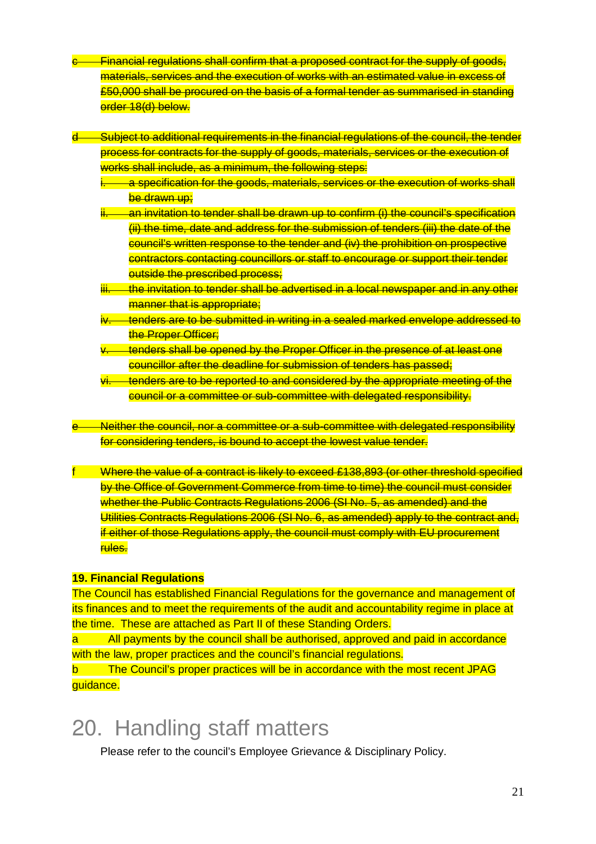- c Financial regulations shall confirm that a proposed contract for the supply of goods, materials, services and the execution of works with an estimated value in excess of £50,000 shall be procured on the basis of a formal tender as summarised in standing order 18(d) below.
- Subject to additional requirements in the financial requlations of the council, the tender process for contracts for the supply of goods, materials, services or the execution of works shall include, as a minimum, the following steps:
	- <u>a specification for the goods, materials, services or the execution of works shall and</u> be drawn up;
	- an invitation to tender shall be drawn up to confirm (i) the council's specification (ii) the time, date and address for the submission of tenders (iii) the date of the council's written response to the tender and (iv) the prohibition on prospective contractors contacting councillors or staff to encourage or support their tender outside the prescribed process;
	- ihe invitation to tender shall be advertised in a local newspaper and in any other manner that is appropriate;
	- iv. tenders are to be submitted in writing in a sealed marked envelope addressed to the Proper Officer;
	- tenders shall be opened by the Proper Officer in the presence of at least one councillor after the deadline for submission of tenders has passed;
	- tenders are to be reported to and considered by the appropriate meeting of the council or a committee or sub-committee with delegated responsibility.
- Neither the council, nor a committee or a sub-committee with delegated responsibility for considering tenders, is bound to accept the lowest value tender.
- f Where the value of a contract is likely to exceed £138,893 (or other threshold specified by the Office of Government Commerce from time to time) the council must consider whether the Public Contracts Regulations 2006 (SI No. 5, as amended) and the Utilities Contracts Regulations 2006 (SI No. 6, as amended) apply to the contract and, if either of those Regulations apply, the council must comply with EU procurement rules.

#### **19. Financial Regulations**

The Council has established Financial Regulations for the governance and management of its finances and to meet the requirements of the audit and accountability regime in place at the time. These are attached as Part II of these Standing Orders.

a All payments by the council shall be authorised, approved and paid in accordance with the law, proper practices and the council's financial regulations.

b The Council's proper practices will be in accordance with the most recent JPAG guidance.

# 20. Handling staff matters

Please refer to the council's Employee Grievance & Disciplinary Policy.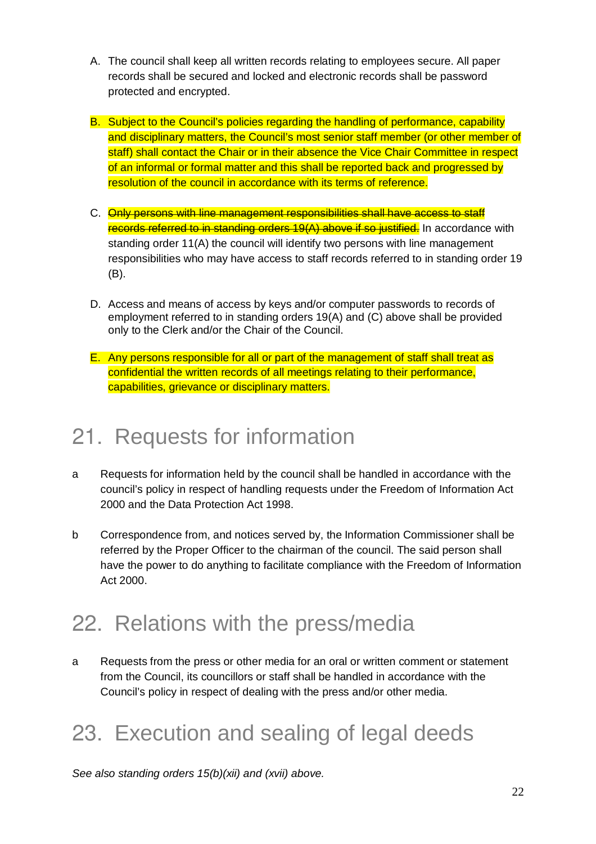- A. The council shall keep all written records relating to employees secure. All paper records shall be secured and locked and electronic records shall be password protected and encrypted.
- B. Subject to the Council's policies regarding the handling of performance, capability and disciplinary matters, the Council's most senior staff member (or other member of staff) shall contact the Chair or in their absence the Vice Chair Committee in respect of an informal or formal matter and this shall be reported back and progressed by resolution of the council in accordance with its terms of reference.
- C. Only persons with line management responsibilities shall have access to staff records referred to in standing orders 19(A) above if so justified. In accordance with standing order 11(A) the council will identify two persons with line management responsibilities who may have access to staff records referred to in standing order 19 (B).
- D. Access and means of access by keys and/or computer passwords to records of employment referred to in standing orders 19(A) and (C) above shall be provided only to the Clerk and/or the Chair of the Council.
- E. Any persons responsible for all or part of the management of staff shall treat as confidential the written records of all meetings relating to their performance, capabilities, grievance or disciplinary matters.

# 21. Requests for information

- a Requests for information held by the council shall be handled in accordance with the council's policy in respect of handling requests under the Freedom of Information Act 2000 and the Data Protection Act 1998.
- b Correspondence from, and notices served by, the Information Commissioner shall be referred by the Proper Officer to the chairman of the council. The said person shall have the power to do anything to facilitate compliance with the Freedom of Information Act 2000.

# 22. Relations with the press/media

a Requests from the press or other media for an oral or written comment or statement from the Council, its councillors or staff shall be handled in accordance with the Council's policy in respect of dealing with the press and/or other media.

# 23. Execution and sealing of legal deeds

See also standing orders  $15(b)(xii)$  and (xvii) above.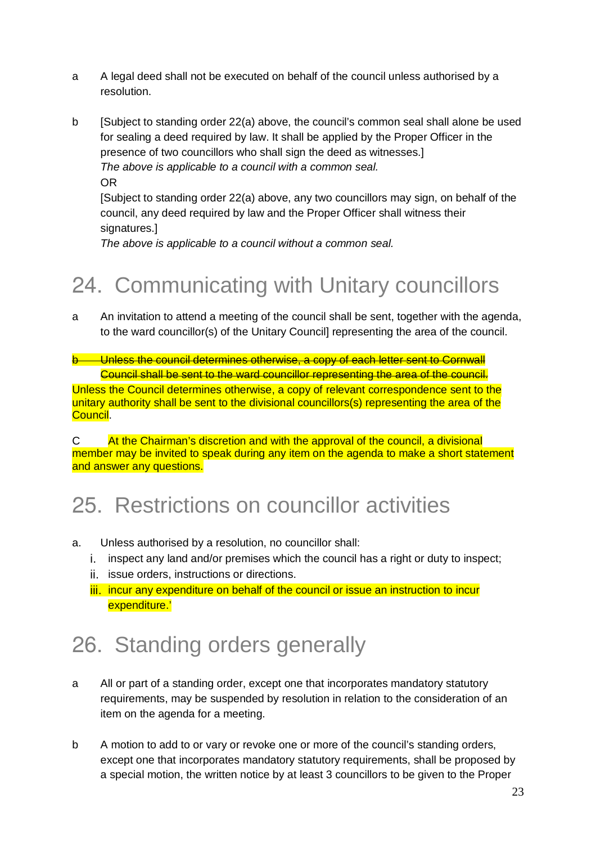- a A legal deed shall not be executed on behalf of the council unless authorised by a resolution.
- b [Subject to standing order 22(a) above, the council's common seal shall alone be used for sealing a deed required by law. It shall be applied by the Proper Officer in the presence of two councillors who shall sign the deed as witnesses.] The above is applicable to a council with a common seal. OR

[Subject to standing order 22(a) above, any two councillors may sign, on behalf of the council, any deed required by law and the Proper Officer shall witness their signatures.]

The above is applicable to a council without a common seal.

# 24. Communicating with Unitary councillors

a An invitation to attend a meeting of the council shall be sent, together with the agenda, to the ward councillor(s) of the Unitary Council] representing the area of the council.

b Unless the council determines otherwise, a copy of each letter sent to Cornwall Council shall be sent to the ward councillor representing the area of the council.

Unless the Council determines otherwise, a copy of relevant correspondence sent to the unitary authority shall be sent to the divisional councillors(s) representing the area of the Council.

C At the Chairman's discretion and with the approval of the council, a divisional member may be invited to speak during any item on the agenda to make a short statement and answer any questions.

# 25. Restrictions on councillor activities

- a. Unless authorised by a resolution, no councillor shall:
	- i. inspect any land and/or premises which the council has a right or duty to inspect;
	- ii. issue orders, instructions or directions.
	- iii. incur any expenditure on behalf of the council or issue an instruction to incur expenditure.'

# 26. Standing orders generally

- a All or part of a standing order, except one that incorporates mandatory statutory requirements, may be suspended by resolution in relation to the consideration of an item on the agenda for a meeting.
- b A motion to add to or vary or revoke one or more of the council's standing orders, except one that incorporates mandatory statutory requirements, shall be proposed by a special motion, the written notice by at least 3 councillors to be given to the Proper